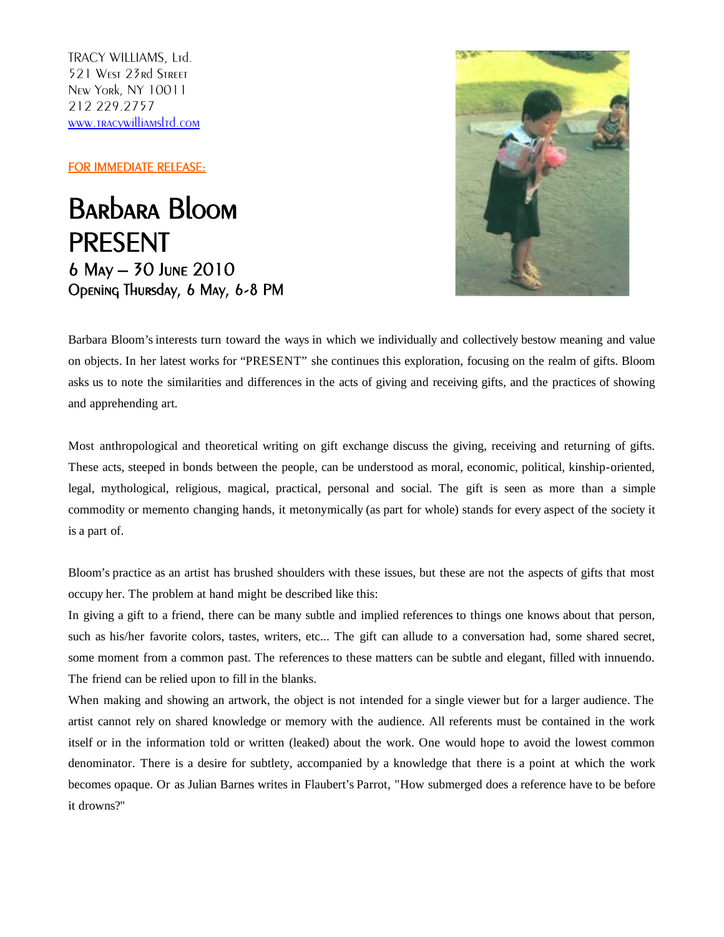TRACY WILLIAMS, Ltd. 521 West 23rd Street New York, NY 10011 212 229.2757 [www.tracywilliamsltd.com](http://www.tracywilliamsltd.com/)

FOR IMMEDIATE RELEASE:

Barbara Bloom PRESENT 6 May – 30 June 2010 Opening Thursday, 6 May, 6-8 PM



Barbara Bloom's interests turn toward the ways in which we individually and collectively bestow meaning and value on objects. In her latest works for "PRESENT" she continues this exploration, focusing on the realm of gifts. Bloom asks us to note the similarities and differences in the acts of giving and receiving gifts, and the practices of showing and apprehending art.

Most anthropological and theoretical writing on gift exchange discuss the giving, receiving and returning of gifts. These acts, steeped in bonds between the people, can be understood as moral, economic, political, kinship-oriented, legal, mythological, religious, magical, practical, personal and social. The gift is seen as more than a simple commodity or memento changing hands, it metonymically (as part for whole) stands for every aspect of the society it is a part of.

Bloom's practice as an artist has brushed shoulders with these issues, but these are not the aspects of gifts that most occupy her. The problem at hand might be described like this:

In giving a gift to a friend, there can be many subtle and implied references to things one knows about that person, such as his/her favorite colors, tastes, writers, etc... The gift can allude to a conversation had, some shared secret, some moment from a common past. The references to these matters can be subtle and elegant, filled with innuendo. The friend can be relied upon to fill in the blanks.

When making and showing an artwork, the object is not intended for a single viewer but for a larger audience. The artist cannot rely on shared knowledge or memory with the audience. All referents must be contained in the work itself or in the information told or written (leaked) about the work. One would hope to avoid the lowest common denominator. There is a desire for subtlety, accompanied by a knowledge that there is a point at which the work becomes opaque. Or as Julian Barnes writes in Flaubert's Parrot, "How submerged does a reference have to be before it drowns?"